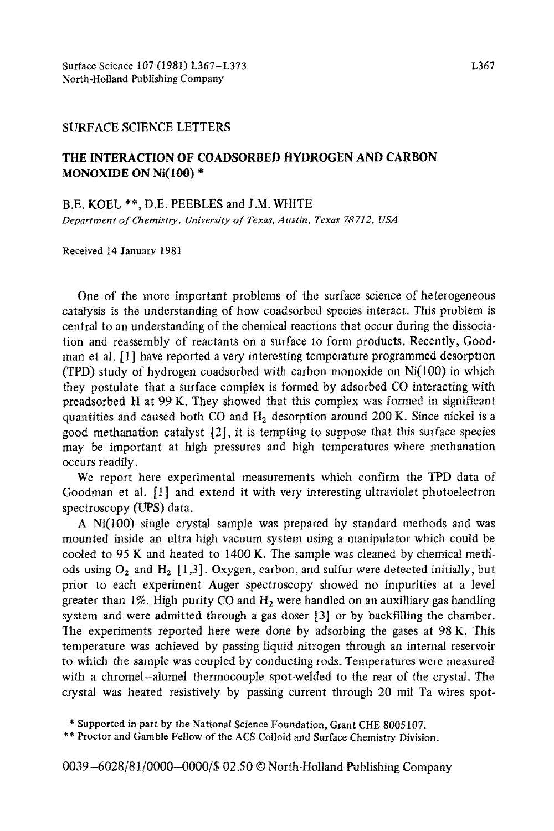## SURFACE SCIENCE LETTERS

## THE INTERACTION OF COADSORBED HYDROGEN AND CARBON MONOXIDE ON Ni(100) \*

BE. KOEL \*\*, D.E. PEEBLES and J.M. WHITE

*Department of Chemistry, University of Texas, Austin, Texas 78712, USA* 

Received 14 January 1981

One of the more important problems of the surface science of heterogeneous catalysis is the understanding of how coadsorbed species interact. This problem is central to an understanding of the chemical reactions that occur during the dissociation and reassembly of reactants on a surface to form products. Recently, Coodman et al. [l] have reported a very interesting temperature programmed desorption (TPD) study of hydrogen coadsorbed with carbon monoxide on Ni(lOO) in which they postulate that a surface complex is formed by adsorbed CO interacting with preadsorbed H at  $99 K$ . They showed that this complex was formed in significant quantities and caused both CO and  $H<sub>2</sub>$  desorption around 200 K. Since nickel is a good methanation catalyst [2], it is tempting to suppose that this surface species may be important at high pressures and high temperatures where methanation occurs readily,

We report here experimental measurements which confirm the TPD data of Goodman et al. [I] and extend it with very interesting ultraviolet photoelectron spectroscopy (UPS) data.

A Ni(lO0) single crystal sample was prepared by standard methods and was mounted inside an ultra high vacuum system using a manipulator which could be cooled to 95 K and heated to 1400 K. The sample was cleaned by chemical metliods using  $O_2$  and  $H_2$  [1,3]. Oxygen, carbon, and sulfur were detected initially, but prior to each experiment Auger spectroscopy showed no impurities at a level greater than 1%. High purity CO and  $H_2$  were handled on an auxilliary gas handling system and were admitted through a gas doser [3] or by backfilling the chamber. The experiments reported here were done by adsorbing the gases at 98 K. This temperature was achieved by passing liquid nitrogen through an internal reservoir to which the sample was coupled by conducting rods. Temperatures were measured with a chromel-alumel thermocouple spot-welded to the rear of the crystal. The crystal was heated resistively by passing current through 20 mil Ta wires spot-

\*\* Proctor and Gamble Fellow of the ACS Colloid and Surface Chemistry Division.

0039-6028/81/0000-0000/\$ 02.50 © North-Holland Publishing Company

<sup>\*</sup> Supported in part by the National Science Foundation, Grant CHE 8005107.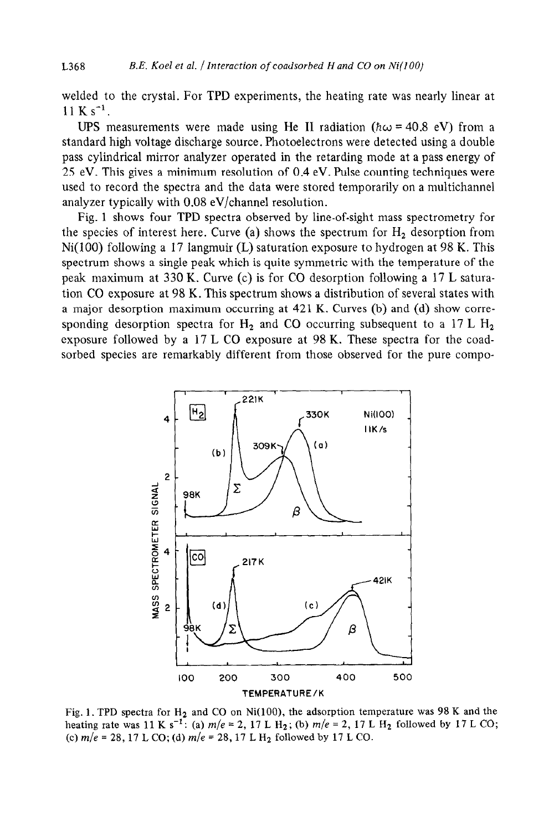welded to the crystal. For TPD experiments, the heating rate was nearly linear at  $11 K s^{-1}$ .

UPS measurements were made using He II radiation ( $\hbar \omega$  = 40.8 eV) from a standard high voltage discharge source. Photoelectrons were detected using a double pass cylindrical mirror analyzer operated in the retarding mode at a pass energy of 25 eV. This gives a minimum resolution of 0.4 eV. Pulse counting techniques were used to record the spectra and the data were stored temporarily on a multichannel analyzer typically with 0.08 eV/channel resolution.

Fig. 1 shows four TPD spectra observed by line-of-sight mass spectrometry for the species of interest here. Curve (a) shows the spectrum for  $H_2$  desorption from  $Ni(100)$  following a 17 langmuir (L) saturation exposure to hydrogen at 98 K. This spectrum shows a single peak which is quite symmetric with the temperature of the peak maximum at 330 K. Curve (c) is for CO desorption following a 17 L saturation CO exposure at 98 K. This spectrum shows a distribution of several states with a major desorption maximum occurring at 421 K. Curves (b) and (d) show corresponding desorption spectra for  $H_2$  and CO occurring subsequent to a 17 L  $H_2$ exposure followed by a 17 L CO exposure at 98 K. These spectra for the coadsorbed species are remarkably different from those observed for the pure compo-



Fig. 1. TPD spectra for  $H_2$  and CO on Ni(100), the adsorption temperature was 98 K and the heating rate was 11 K s<sup>-1</sup>: (a)  $m/e = 2$ , 17 L H<sub>2</sub>; (b)  $m/e = 2$ , 17 L H<sub>2</sub> followed by 17 L CO; (c)  $m/e = 28$ , 17 L CO; (d)  $m/e = 28$ , 17 L H<sub>2</sub> followed by 17 L CO.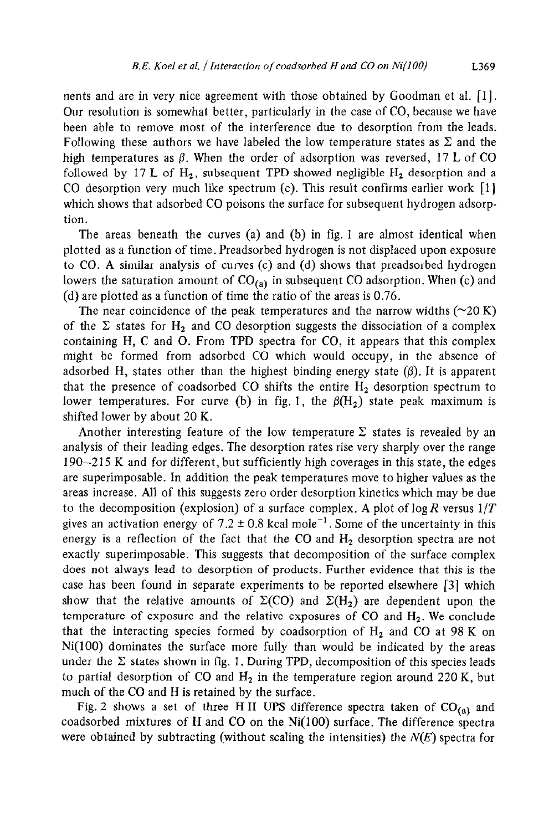nents and are in very nice agreement with those obtained by Goodman et al. [l]. Our resolution is somewhat better, particularly in the case of CO, because we have been able to remove most of the interference due to desorption from the leads. Following these authors we have labeled the low temperature states as  $\Sigma$  and the high temperatures as  $\beta$ . When the order of adsorption was reversed, 17 L of CO followed by 17 L of  $H_2$ , subsequent TPD showed negligible  $H_2$  desorption and a CO desorption very much like spectrum (c). This result confirms earlier work [l] which shows that adsorbed CO poisons the surface for subsequent hydrogen adsorption.

The areas beneath the curves (a) and (b) in fig. 1 are almost identical when plotted as a function of time. Preadsorbed hydrogen is not displaced upon exposure to CO. A similar analysis of curves (c) and (d) shows that preadsorbed hydrogen lowers the saturation amount of  $CO_{(a)}$  in subsequent CO adsorption. When (c) and (d) are plotted as a function of time the ratio of the areas is 0.76.

The near coincidence of the peak temperatures and the narrow widths  $(\sim 20 \text{ K})$ of the  $\Sigma$  states for H<sub>2</sub> and CO desorption suggests the dissociation of a complex containing H, C and 0. From TPD spectra for CO, it appears that this complex might be formed from adsorbed CO which would occupy, in the absence of adsorbed H, states other than the highest binding energy state  $(\beta)$ . It is apparent that the presence of coadsorbed CO shifts the entire  $H_2$  desorption spectrum to lower temperatures. For curve (b) in fig. 1, the  $\beta(H_2)$  state peak maximum is shifted lower by about 20 K.

Another interesting feature of the low temperature  $\Sigma$  states is revealed by an analysis of their leading edges. The desorption rates rise very sharply over the range 190-2 15 K and for different, but sufficiently high coverages in this state, the edges are superimposable. In addition the peak temperatures move to higher values as the areas increase. All of this suggests zero order desorption kinetics which may be due to the decomposition (explosion) of a surface complex. A plot of log *R* versus *l/T*  gives an activation energy of 7.2  $\pm$  0.8 kcal mole<sup>-1</sup>. Some of the uncertainty in this energy is a reflection of the fact that the CO and  $H<sub>2</sub>$  desorption spectra are not exactly superimposable. This suggests that decomposition of the surface complex does not always lead to desorption of products. Further evidence that this is the case has been found in separate experiments to be reported elsewhere [3] which show that the relative amounts of  $\Sigma(CO)$  and  $\Sigma(H_2)$  are dependent upon the temperature of exposure and the relative exposures of CO and  $H_2$ . We conclude that the interacting species formed by coadsorption of  $H_2$  and CO at 98 K on Ni(lOO) dominates the surface more fully than would be indicated by the areas under the  $\Sigma$  states shown in fig. 1. During TPD, decomposition of this species leads to partial desorption of CO and  $H_2$  in the temperature region around 220 K, but much of the CO and H is retained by the surface.

Fig. 2 shows a set of three HII UPS difference spectra taken of  $CO_{(a)}$  and coadsorbed mixtures of H and CO on the Ni(lOO) surface. The difference spectra were obtained by subtracting (without scaling the intensities) the  $N(E)$  spectra for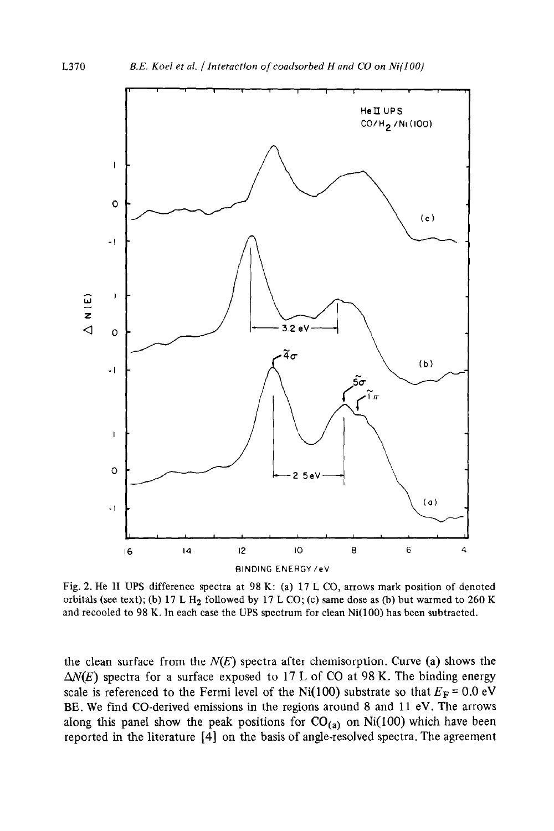

Fig. 2. He I1 UPS difference spectra at 98 K: (a) 17 L CO, arrows mark position of denoted orbitals (see text); (b) 17 L H<sub>2</sub> followed by 17 L CO; (c) same dose as (b) but warmed to 260 K and recooled to 98 K. In each case the UPS spectrum for clean  $Ni(100)$  has been subtracted.

the clean surface from the  $N(E)$  spectra after chemisorption. Curve (a) shows the  $\Delta N(E)$  spectra for a surface exposed to 17 L of CO at 98 K. The binding energy scale is referenced to the Fermi level of the Ni(100) substrate so that  $E_F = 0.0 \text{ eV}$ BE. We find CO-derived emissions in the regions around 8 and 11 eV. The arrows along this panel show the peak positions for  $CO_{(a)}$  on Ni(100) which have been reported in the literature [4] on the basis of angle-resolved spectra. The agreement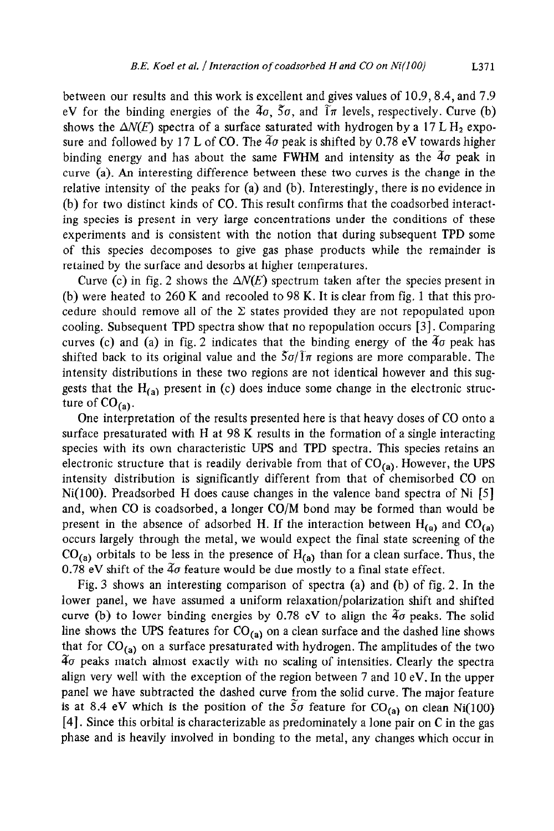between our results and this work is excellent and gives values of 10.9,8.4, and 7.9 eV for the binding energies of the  $4\sigma$ ,  $5\sigma$ , and  $1\pi$  levels, respectively. Curve (b) shows the  $\Delta N(E)$  spectra of a surface saturated with hydrogen by a 17 L H<sub>2</sub> exposure and followed by 17 L of CO. The  $4\sigma$  peak is shifted by 0.78 eV towards higher binding energy and has about the same FWHM and intensity as the  $4\sigma$  peak in curve (a). An interesting difference between these two curves is the change in the relative intensity of the peaks for (a) and (b). Interestingly, there is no evidence in (b) for two distinct kinds of CO. This result confirms that the coadsorbed interacting species is present in very large concentrations under the conditions of these experiments and is consistent with the notion that during subsequent TPD some of this species decomposes to give gas phase products while the remainder is retained by the surface and desorbs at higher temperatures.

Curve (c) in fig. 2 shows the  $\Delta N(E)$  spectrum taken after the species present in (b) were heated to  $260 \text{ K}$  and recooled to 98 K. It is clear from fig. 1 that this procedure should remove all of the  $\Sigma$  states provided they are not repopulated upon cooling. Subsequent TPD spectra show that no repopulation occurs [3]. Comparing curves (c) and (a) in fig. 2 indicates that the binding energy of the  $4\sigma$  peak has shifted back to its original value and the  $5\sigma/\overline{1}\pi$  regions are more comparable. The intensity distributions in these two regions are not identical however and this suggests that the  $H_{(a)}$  present in (c) does induce some change in the electronic structure of  $CO_{(a)}$ .

One interpretation of the results presented here is that heavy doses of CO onto a surface presaturated with H at 98 K results in the formation of a single interacting species with its own characteristic UPS and TPD spectra. This species retains an electronic structure that is readily derivable from that of  $CO_{(a)}$ . However, the UPS intensity distribution is significantly different from that of chemisorbed CO on  $Ni(100)$ . Preadsorbed H does cause changes in the valence band spectra of Ni [5] and, when CO is coadsorbed, a longer CO/M bond may be formed than would be present in the absence of adsorbed H. If the interaction between  $H_{(a)}$  and  $CO_{(a)}$ occurs largely through the metal, we would expect the final state screening of the  $CO<sub>(a)</sub>$  orbitals to be less in the presence of  $H<sub>(a)</sub>$  than for a clean surface. Thus, the 0.78 eV shift of the  $4\sigma$  feature would be due mostly to a final state effect.

Fig. 3 shows an interesting comparison of spectra (a) and (b) of fig. 2. In the lower panel, we have assumed a uniform relaxation/polarization shift and shifted curve (b) to lower binding energies by  $0.78$  eV to align the  $4\sigma$  peaks. The solid line shows the UPS features for  $CO_{(a)}$  on a clean surface and the dashed line shows that for  $CO_{(a)}$  on a surface presaturated with hydrogen. The amplitudes of the two  $4\sigma$  peaks match almost exactly with no scaling of intensities. Clearly the spectra align very well with the exception of the region between 7 and 10 eV. In the upper panel we have subtracted the dashed curve from the solid curve. The major feature is at 8.4 eV which is the position of the 5 $\sigma$  feature for CO<sub>(a)</sub> on clean Ni(100) [4]. Since this orbital is characterizable as predominately a lone pair on C in the gas phase and is heavily involved in bonding to the metal, any changes which occur in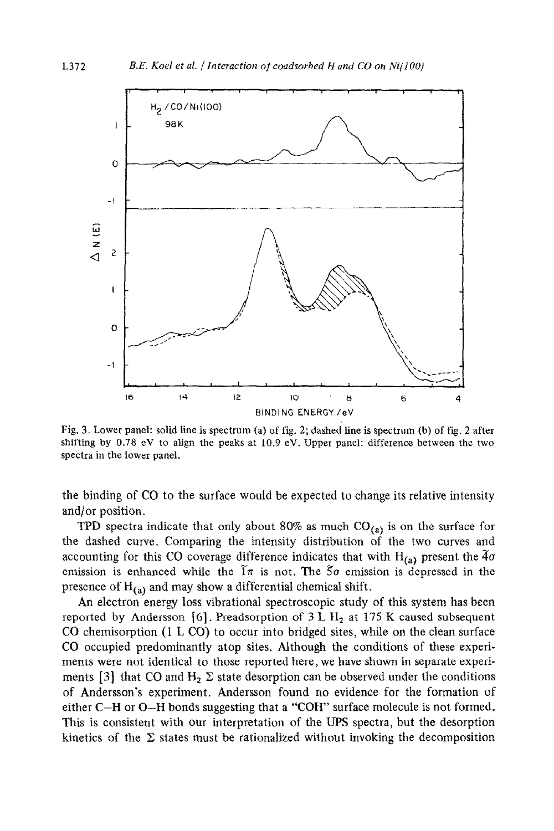

Fig. 3. Lower panel: solid line is spectrum (a) of fig. 2; dashed line is spectrum (b) of fig. 2 after shifting by 0.78 eV to align the peaks at 10.9 eV. Upper panel: difference between the two spectra in the lower panel.

the binding of CO to the surface would be expected to change its relative intensity and/or position.

TPD spectra indicate that only about 80% as much  $CO<sub>(a)</sub>$  is on the surface for the dashed curve. Comparing the intensity distribution of the two curves and accounting for this CO coverage difference indicates that with  $H_{(a)}$  present the  $\tilde{4}\sigma$ emission is enhanced while the  $\tilde{1}\pi$  is not. The  $5\sigma$  emission is depressed in the presence of  $H_{\ell,n}$  and may show a differential chemical shift.

An electron energy loss vibrational spectroscopic study of this system has been reported by Andersson [6]. Preadsorption of  $3 L H<sub>2</sub>$  at 175 K caused subsequent CO chemisorption (1 L CO) to occur into bridged sites, while on the clean surface CO occupied predominantly atop sites. Although the conditions of these experiments were not identical to those reported here, we have shown in separate experiments [3] that CO and  $H_2 \Sigma$  state desorption can be observed under the conditions of Andersson's experiment. Andersson found no evidence for the formation of either C-H or O-H bonds suggesting that a "COH" surface molecule is not formed. This is consistent with our interpretation of the UPS spectra, but the desorption kinetics of the  $\Sigma$  states must be rationalized without invoking the decomposition